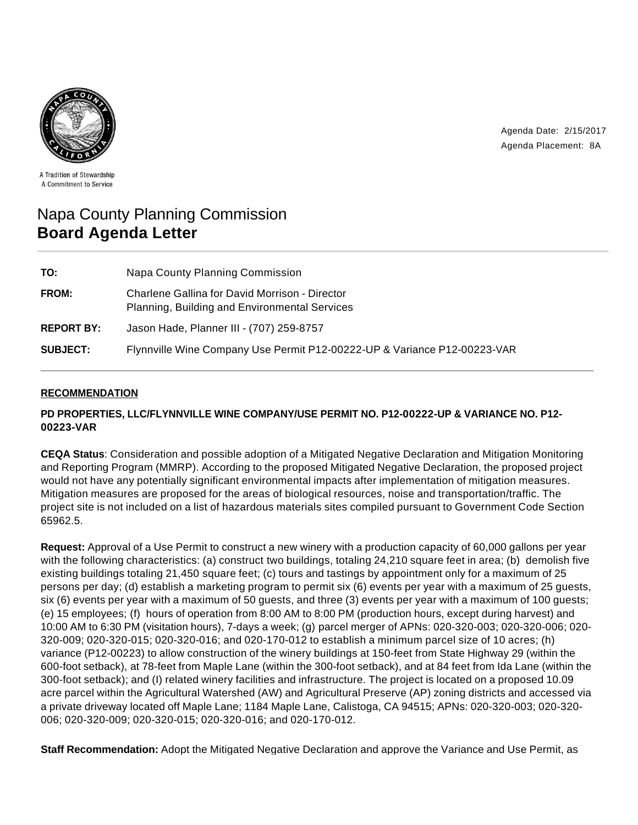

Agenda Date: 2/15/2017 Agenda Placement: 8A

A Tradition of Stewardship A Commitment to Service

# Napa County Planning Commission **Board Agenda Letter**

| TO:               | Napa County Planning Commission                                                                 |
|-------------------|-------------------------------------------------------------------------------------------------|
| FROM:             | Charlene Gallina for David Morrison - Director<br>Planning, Building and Environmental Services |
| <b>REPORT BY:</b> | Jason Hade, Planner III - (707) 259-8757                                                        |
| <b>SUBJECT:</b>   | Flynnville Wine Company Use Permit P12-00222-UP & Variance P12-00223-VAR                        |

# **RECOMMENDATION**

# **PD PROPERTIES, LLC/FLYNNVILLE WINE COMPANY/USE PERMIT NO. P12-00222-UP & VARIANCE NO. P12- 00223-VAR**

**CEQA Status**: Consideration and possible adoption of a Mitigated Negative Declaration and Mitigation Monitoring and Reporting Program (MMRP). According to the proposed Mitigated Negative Declaration, the proposed project would not have any potentially significant environmental impacts after implementation of mitigation measures. Mitigation measures are proposed for the areas of biological resources, noise and transportation/traffic. The project site is not included on a list of hazardous materials sites compiled pursuant to Government Code Section 65962.5.

**Request:** Approval of a Use Permit to construct a new winery with a production capacity of 60,000 gallons per year with the following characteristics: (a) construct two buildings, totaling 24,210 square feet in area; (b) demolish five existing buildings totaling 21,450 square feet; (c) tours and tastings by appointment only for a maximum of 25 persons per day; (d) establish a marketing program to permit six (6) events per year with a maximum of 25 guests, six (6) events per year with a maximum of 50 guests, and three (3) events per year with a maximum of 100 guests; (e) 15 employees; (f) hours of operation from 8:00 AM to 8:00 PM (production hours, except during harvest) and 10:00 AM to 6:30 PM (visitation hours), 7-days a week; (g) parcel merger of APNs: 020-320-003; 020-320-006; 020- 320-009; 020-320-015; 020-320-016; and 020-170-012 to establish a minimum parcel size of 10 acres; (h) variance (P12-00223) to allow construction of the winery buildings at 150-feet from State Highway 29 (within the 600-foot setback), at 78-feet from Maple Lane (within the 300-foot setback), and at 84 feet from Ida Lane (within the 300-foot setback); and (I) related winery facilities and infrastructure. The project is located on a proposed 10.09 acre parcel within the Agricultural Watershed (AW) and Agricultural Preserve (AP) zoning districts and accessed via a private driveway located off Maple Lane; 1184 Maple Lane, Calistoga, CA 94515; APNs: 020-320-003; 020-320- 006; 020-320-009; 020-320-015; 020-320-016; and 020-170-012.

**Staff Recommendation:** Adopt the Mitigated Negative Declaration and approve the Variance and Use Permit, as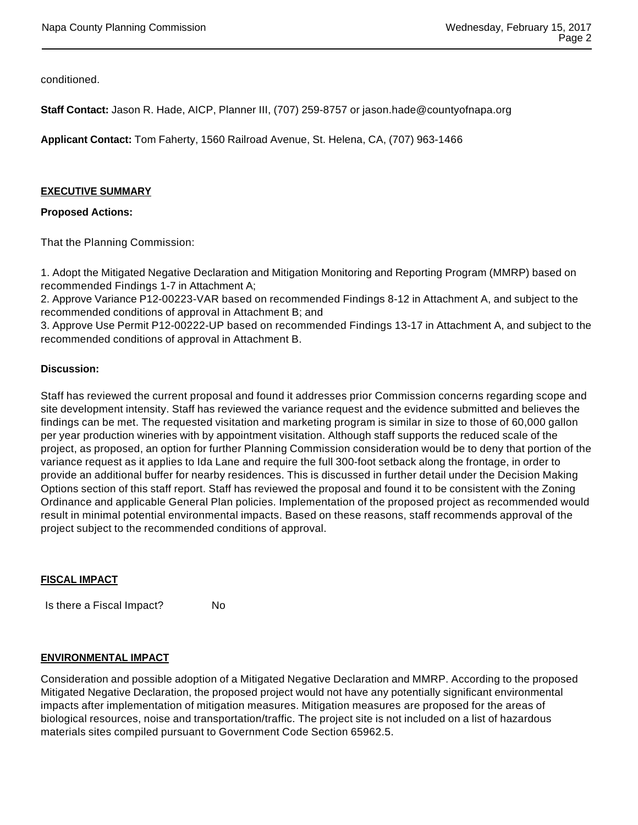conditioned.

**Staff Contact:** Jason R. Hade, AICP, Planner III, (707) 259-8757 or jason.hade@countyofnapa.org

**Applicant Contact:** Tom Faherty, 1560 Railroad Avenue, St. Helena, CA, (707) 963-1466

#### **EXECUTIVE SUMMARY**

## **Proposed Actions:**

That the Planning Commission:

1. Adopt the Mitigated Negative Declaration and Mitigation Monitoring and Reporting Program (MMRP) based on recommended Findings 1-7 in Attachment A;

2. Approve Variance P12-00223-VAR based on recommended Findings 8-12 in Attachment A, and subject to the recommended conditions of approval in Attachment B; and

3. Approve Use Permit P12-00222-UP based on recommended Findings 13-17 in Attachment A, and subject to the recommended conditions of approval in Attachment B.

## **Discussion:**

Staff has reviewed the current proposal and found it addresses prior Commission concerns regarding scope and site development intensity. Staff has reviewed the variance request and the evidence submitted and believes the findings can be met. The requested visitation and marketing program is similar in size to those of 60,000 gallon per year production wineries with by appointment visitation. Although staff supports the reduced scale of the project, as proposed, an option for further Planning Commission consideration would be to deny that portion of the variance request as it applies to Ida Lane and require the full 300-foot setback along the frontage, in order to provide an additional buffer for nearby residences. This is discussed in further detail under the Decision Making Options section of this staff report. Staff has reviewed the proposal and found it to be consistent with the Zoning Ordinance and applicable General Plan policies. Implementation of the proposed project as recommended would result in minimal potential environmental impacts. Based on these reasons, staff recommends approval of the project subject to the recommended conditions of approval.

#### **FISCAL IMPACT**

Is there a Fiscal Impact? No

## **ENVIRONMENTAL IMPACT**

Consideration and possible adoption of a Mitigated Negative Declaration and MMRP. According to the proposed Mitigated Negative Declaration, the proposed project would not have any potentially significant environmental impacts after implementation of mitigation measures. Mitigation measures are proposed for the areas of biological resources, noise and transportation/traffic. The project site is not included on a list of hazardous materials sites compiled pursuant to Government Code Section 65962.5.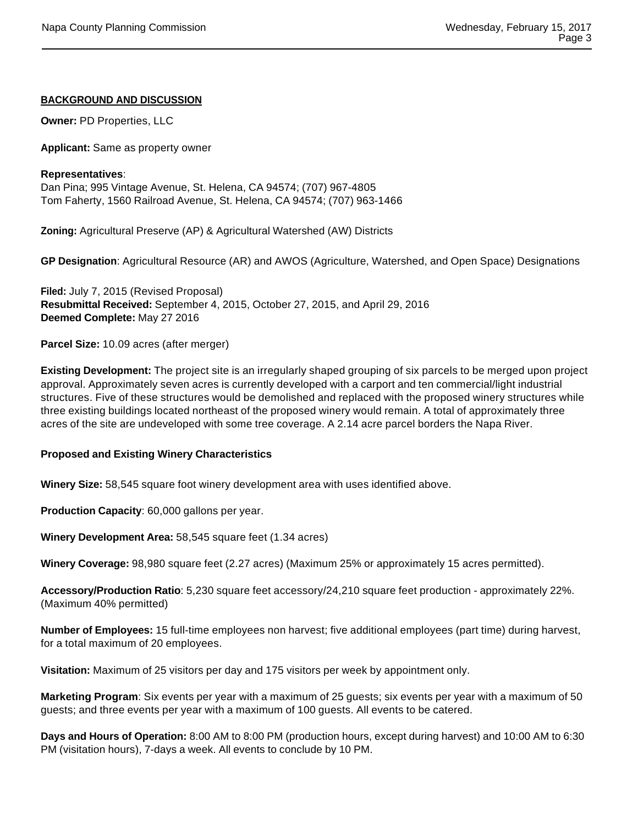## **BACKGROUND AND DISCUSSION**

**Owner:** PD Properties, LLC

**Applicant:** Same as property owner

#### **Representatives**:

Dan Pina; 995 Vintage Avenue, St. Helena, CA 94574; (707) 967-4805 Tom Faherty, 1560 Railroad Avenue, St. Helena, CA 94574; (707) 963-1466

**Zoning:** Agricultural Preserve (AP) & Agricultural Watershed (AW) Districts

**GP Designation**: Agricultural Resource (AR) and AWOS (Agriculture, Watershed, and Open Space) Designations

**Filed:** July 7, 2015 (Revised Proposal) **Resubmittal Received:** September 4, 2015, October 27, 2015, and April 29, 2016 **Deemed Complete:** May 27 2016

**Parcel Size:** 10.09 acres (after merger)

**Existing Development:** The project site is an irregularly shaped grouping of six parcels to be merged upon project approval. Approximately seven acres is currently developed with a carport and ten commercial/light industrial structures. Five of these structures would be demolished and replaced with the proposed winery structures while three existing buildings located northeast of the proposed winery would remain. A total of approximately three acres of the site are undeveloped with some tree coverage. A 2.14 acre parcel borders the Napa River.

## **Proposed and Existing Winery Characteristics**

**Winery Size:** 58,545 square foot winery development area with uses identified above.

**Production Capacity**: 60,000 gallons per year.

**Winery Development Area:** 58,545 square feet (1.34 acres)

**Winery Coverage:** 98,980 square feet (2.27 acres) (Maximum 25% or approximately 15 acres permitted).

**Accessory/Production Ratio**: 5,230 square feet accessory/24,210 square feet production - approximately 22%. (Maximum 40% permitted)

**Number of Employees:** 15 full-time employees non harvest; five additional employees (part time) during harvest, for a total maximum of 20 employees.

**Visitation:** Maximum of 25 visitors per day and 175 visitors per week by appointment only.

**Marketing Program**: Six events per year with a maximum of 25 guests; six events per year with a maximum of 50 guests; and three events per year with a maximum of 100 guests. All events to be catered.

**Days and Hours of Operation:** 8:00 AM to 8:00 PM (production hours, except during harvest) and 10:00 AM to 6:30 PM (visitation hours), 7-days a week. All events to conclude by 10 PM.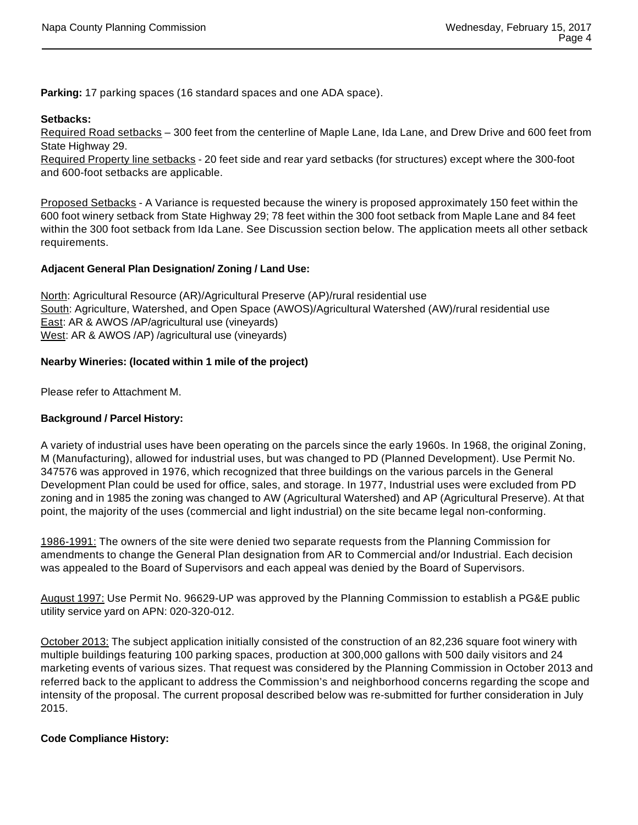**Parking:** 17 parking spaces (16 standard spaces and one ADA space).

# **Setbacks:**

Required Road setbacks – 300 feet from the centerline of Maple Lane, Ida Lane, and Drew Drive and 600 feet from State Highway 29.

Required Property line setbacks - 20 feet side and rear yard setbacks (for structures) except where the 300-foot and 600-foot setbacks are applicable.

Proposed Setbacks - A Variance is requested because the winery is proposed approximately 150 feet within the 600 foot winery setback from State Highway 29; 78 feet within the 300 foot setback from Maple Lane and 84 feet within the 300 foot setback from Ida Lane. See Discussion section below. The application meets all other setback requirements.

# **Adjacent General Plan Designation/ Zoning / Land Use:**

North: Agricultural Resource (AR)/Agricultural Preserve (AP)/rural residential use South: Agriculture, Watershed, and Open Space (AWOS)/Agricultural Watershed (AW)/rural residential use East: AR & AWOS /AP/agricultural use (vineyards) West: AR & AWOS /AP) /agricultural use (vineyards)

# **Nearby Wineries: (located within 1 mile of the project)**

Please refer to Attachment M.

# **Background / Parcel History:**

A variety of industrial uses have been operating on the parcels since the early 1960s. In 1968, the original Zoning, M (Manufacturing), allowed for industrial uses, but was changed to PD (Planned Development). Use Permit No. 347576 was approved in 1976, which recognized that three buildings on the various parcels in the General Development Plan could be used for office, sales, and storage. In 1977, Industrial uses were excluded from PD zoning and in 1985 the zoning was changed to AW (Agricultural Watershed) and AP (Agricultural Preserve). At that point, the majority of the uses (commercial and light industrial) on the site became legal non-conforming.

1986-1991: The owners of the site were denied two separate requests from the Planning Commission for amendments to change the General Plan designation from AR to Commercial and/or Industrial. Each decision was appealed to the Board of Supervisors and each appeal was denied by the Board of Supervisors.

August 1997: Use Permit No. 96629-UP was approved by the Planning Commission to establish a PG&E public utility service yard on APN: 020-320-012.

October 2013: The subject application initially consisted of the construction of an 82,236 square foot winery with multiple buildings featuring 100 parking spaces, production at 300,000 gallons with 500 daily visitors and 24 marketing events of various sizes. That request was considered by the Planning Commission in October 2013 and referred back to the applicant to address the Commission's and neighborhood concerns regarding the scope and intensity of the proposal. The current proposal described below was re-submitted for further consideration in July 2015.

## **Code Compliance History:**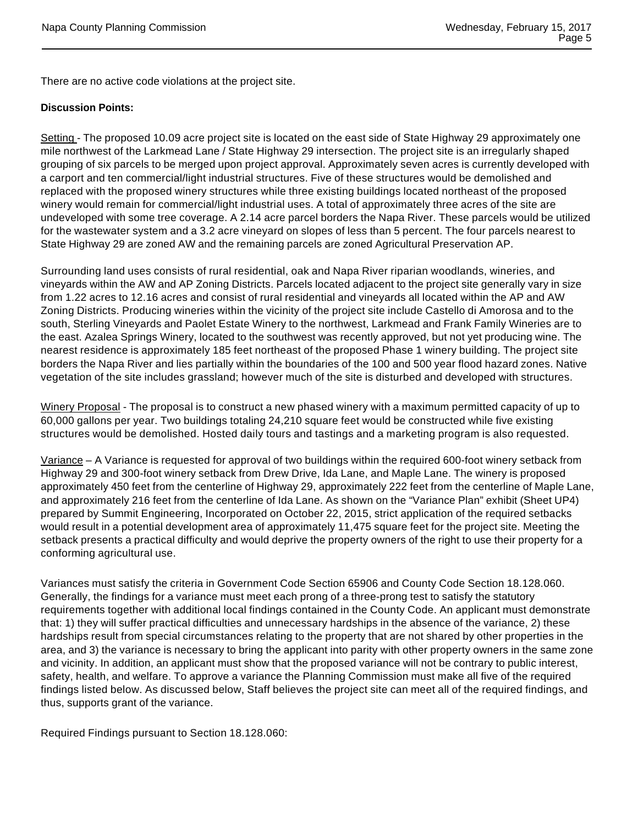There are no active code violations at the project site.

#### **Discussion Points:**

Setting - The proposed 10.09 acre project site is located on the east side of State Highway 29 approximately one mile northwest of the Larkmead Lane / State Highway 29 intersection. The project site is an irregularly shaped grouping of six parcels to be merged upon project approval. Approximately seven acres is currently developed with a carport and ten commercial/light industrial structures. Five of these structures would be demolished and replaced with the proposed winery structures while three existing buildings located northeast of the proposed winery would remain for commercial/light industrial uses. A total of approximately three acres of the site are undeveloped with some tree coverage. A 2.14 acre parcel borders the Napa River. These parcels would be utilized for the wastewater system and a 3.2 acre vineyard on slopes of less than 5 percent. The four parcels nearest to State Highway 29 are zoned AW and the remaining parcels are zoned Agricultural Preservation AP.

Surrounding land uses consists of rural residential, oak and Napa River riparian woodlands, wineries, and vineyards within the AW and AP Zoning Districts. Parcels located adjacent to the project site generally vary in size from 1.22 acres to 12.16 acres and consist of rural residential and vineyards all located within the AP and AW Zoning Districts. Producing wineries within the vicinity of the project site include Castello di Amorosa and to the south, Sterling Vineyards and Paolet Estate Winery to the northwest, Larkmead and Frank Family Wineries are to the east. Azalea Springs Winery, located to the southwest was recently approved, but not yet producing wine. The nearest residence is approximately 185 feet northeast of the proposed Phase 1 winery building. The project site borders the Napa River and lies partially within the boundaries of the 100 and 500 year flood hazard zones. Native vegetation of the site includes grassland; however much of the site is disturbed and developed with structures.

Winery Proposal - The proposal is to construct a new phased winery with a maximum permitted capacity of up to 60,000 gallons per year. Two buildings totaling 24,210 square feet would be constructed while five existing structures would be demolished. Hosted daily tours and tastings and a marketing program is also requested.

Variance – A Variance is requested for approval of two buildings within the required 600-foot winery setback from Highway 29 and 300-foot winery setback from Drew Drive, Ida Lane, and Maple Lane. The winery is proposed approximately 450 feet from the centerline of Highway 29, approximately 222 feet from the centerline of Maple Lane, and approximately 216 feet from the centerline of Ida Lane. As shown on the "Variance Plan" exhibit (Sheet UP4) prepared by Summit Engineering, Incorporated on October 22, 2015, strict application of the required setbacks would result in a potential development area of approximately 11,475 square feet for the project site. Meeting the setback presents a practical difficulty and would deprive the property owners of the right to use their property for a conforming agricultural use.

Variances must satisfy the criteria in Government Code Section 65906 and County Code Section 18.128.060. Generally, the findings for a variance must meet each prong of a three-prong test to satisfy the statutory requirements together with additional local findings contained in the County Code. An applicant must demonstrate that: 1) they will suffer practical difficulties and unnecessary hardships in the absence of the variance, 2) these hardships result from special circumstances relating to the property that are not shared by other properties in the area, and 3) the variance is necessary to bring the applicant into parity with other property owners in the same zone and vicinity. In addition, an applicant must show that the proposed variance will not be contrary to public interest, safety, health, and welfare. To approve a variance the Planning Commission must make all five of the required findings listed below. As discussed below, Staff believes the project site can meet all of the required findings, and thus, supports grant of the variance.

Required Findings pursuant to Section 18.128.060: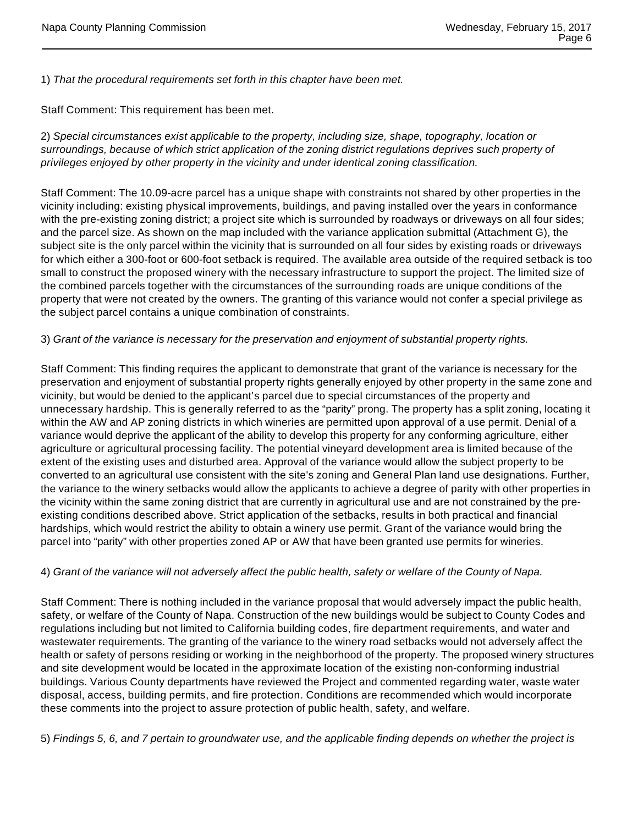1) That the procedural requirements set forth in this chapter have been met.

Staff Comment: This requirement has been met.

2) Special circumstances exist applicable to the property, including size, shape, topography, location or surroundings, because of which strict application of the zoning district regulations deprives such property of privileges enjoyed by other property in the vicinity and under identical zoning classification.

Staff Comment: The 10.09-acre parcel has a unique shape with constraints not shared by other properties in the vicinity including: existing physical improvements, buildings, and paving installed over the years in conformance with the pre-existing zoning district; a project site which is surrounded by roadways or driveways on all four sides; and the parcel size. As shown on the map included with the variance application submittal (Attachment G), the subject site is the only parcel within the vicinity that is surrounded on all four sides by existing roads or driveways for which either a 300-foot or 600-foot setback is required. The available area outside of the required setback is too small to construct the proposed winery with the necessary infrastructure to support the project. The limited size of the combined parcels together with the circumstances of the surrounding roads are unique conditions of the property that were not created by the owners. The granting of this variance would not confer a special privilege as the subject parcel contains a unique combination of constraints.

## 3) Grant of the variance is necessary for the preservation and enjoyment of substantial property rights.

Staff Comment: This finding requires the applicant to demonstrate that grant of the variance is necessary for the preservation and enjoyment of substantial property rights generally enjoyed by other property in the same zone and vicinity, but would be denied to the applicant's parcel due to special circumstances of the property and unnecessary hardship. This is generally referred to as the "parity" prong. The property has a split zoning, locating it within the AW and AP zoning districts in which wineries are permitted upon approval of a use permit. Denial of a variance would deprive the applicant of the ability to develop this property for any conforming agriculture, either agriculture or agricultural processing facility. The potential vineyard development area is limited because of the extent of the existing uses and disturbed area. Approval of the variance would allow the subject property to be converted to an agricultural use consistent with the site's zoning and General Plan land use designations. Further, the variance to the winery setbacks would allow the applicants to achieve a degree of parity with other properties in the vicinity within the same zoning district that are currently in agricultural use and are not constrained by the preexisting conditions described above. Strict application of the setbacks, results in both practical and financial hardships, which would restrict the ability to obtain a winery use permit. Grant of the variance would bring the parcel into "parity" with other properties zoned AP or AW that have been granted use permits for wineries.

## 4) Grant of the variance will not adversely affect the public health, safety or welfare of the County of Napa.

Staff Comment: There is nothing included in the variance proposal that would adversely impact the public health, safety, or welfare of the County of Napa. Construction of the new buildings would be subject to County Codes and regulations including but not limited to California building codes, fire department requirements, and water and wastewater requirements. The granting of the variance to the winery road setbacks would not adversely affect the health or safety of persons residing or working in the neighborhood of the property. The proposed winery structures and site development would be located in the approximate location of the existing non-conforming industrial buildings. Various County departments have reviewed the Project and commented regarding water, waste water disposal, access, building permits, and fire protection. Conditions are recommended which would incorporate these comments into the project to assure protection of public health, safety, and welfare.

5) Findings 5, 6, and 7 pertain to groundwater use, and the applicable finding depends on whether the project is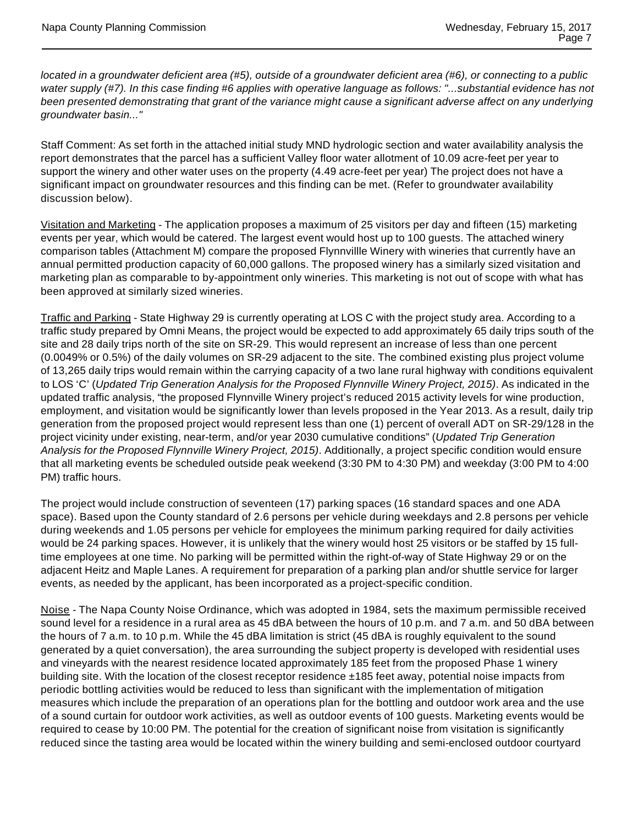located in a groundwater deficient area (#5), outside of a groundwater deficient area (#6), or connecting to a public water supply (#7). In this case finding #6 applies with operative language as follows: "...substantial evidence has not been presented demonstrating that grant of the variance might cause a significant adverse affect on any underlying groundwater basin..."

Staff Comment: As set forth in the attached initial study MND hydrologic section and water availability analysis the report demonstrates that the parcel has a sufficient Valley floor water allotment of 10.09 acre-feet per year to support the winery and other water uses on the property (4.49 acre-feet per year) The project does not have a significant impact on groundwater resources and this finding can be met. (Refer to groundwater availability discussion below).

Visitation and Marketing - The application proposes a maximum of 25 visitors per day and fifteen (15) marketing events per year, which would be catered. The largest event would host up to 100 guests. The attached winery comparison tables (Attachment M) compare the proposed Flynnvillle Winery with wineries that currently have an annual permitted production capacity of 60,000 gallons. The proposed winery has a similarly sized visitation and marketing plan as comparable to by-appointment only wineries. This marketing is not out of scope with what has been approved at similarly sized wineries.

Traffic and Parking - State Highway 29 is currently operating at LOS C with the project study area. According to a traffic study prepared by Omni Means, the project would be expected to add approximately 65 daily trips south of the site and 28 daily trips north of the site on SR-29. This would represent an increase of less than one percent (0.0049% or 0.5%) of the daily volumes on SR-29 adjacent to the site. The combined existing plus project volume of 13,265 daily trips would remain within the carrying capacity of a two lane rural highway with conditions equivalent to LOS 'C' (Updated Trip Generation Analysis for the Proposed Flynnville Winery Project, 2015). As indicated in the updated traffic analysis, "the proposed Flynnville Winery project's reduced 2015 activity levels for wine production, employment, and visitation would be significantly lower than levels proposed in the Year 2013. As a result, daily trip generation from the proposed project would represent less than one (1) percent of overall ADT on SR-29/128 in the project vicinity under existing, near-term, and/or year 2030 cumulative conditions" (Updated Trip Generation Analysis for the Proposed Flynnville Winery Project, 2015). Additionally, a project specific condition would ensure that all marketing events be scheduled outside peak weekend (3:30 PM to 4:30 PM) and weekday (3:00 PM to 4:00 PM) traffic hours.

The project would include construction of seventeen (17) parking spaces (16 standard spaces and one ADA space). Based upon the County standard of 2.6 persons per vehicle during weekdays and 2.8 persons per vehicle during weekends and 1.05 persons per vehicle for employees the minimum parking required for daily activities would be 24 parking spaces. However, it is unlikely that the winery would host 25 visitors or be staffed by 15 fulltime employees at one time. No parking will be permitted within the right-of-way of State Highway 29 or on the adjacent Heitz and Maple Lanes. A requirement for preparation of a parking plan and/or shuttle service for larger events, as needed by the applicant, has been incorporated as a project-specific condition.

Noise - The Napa County Noise Ordinance, which was adopted in 1984, sets the maximum permissible received sound level for a residence in a rural area as 45 dBA between the hours of 10 p.m. and 7 a.m. and 50 dBA between the hours of 7 a.m. to 10 p.m. While the 45 dBA limitation is strict (45 dBA is roughly equivalent to the sound generated by a quiet conversation), the area surrounding the subject property is developed with residential uses and vineyards with the nearest residence located approximately 185 feet from the proposed Phase 1 winery building site. With the location of the closest receptor residence ±185 feet away, potential noise impacts from periodic bottling activities would be reduced to less than significant with the implementation of mitigation measures which include the preparation of an operations plan for the bottling and outdoor work area and the use of a sound curtain for outdoor work activities, as well as outdoor events of 100 guests. Marketing events would be required to cease by 10:00 PM. The potential for the creation of significant noise from visitation is significantly reduced since the tasting area would be located within the winery building and semi-enclosed outdoor courtyard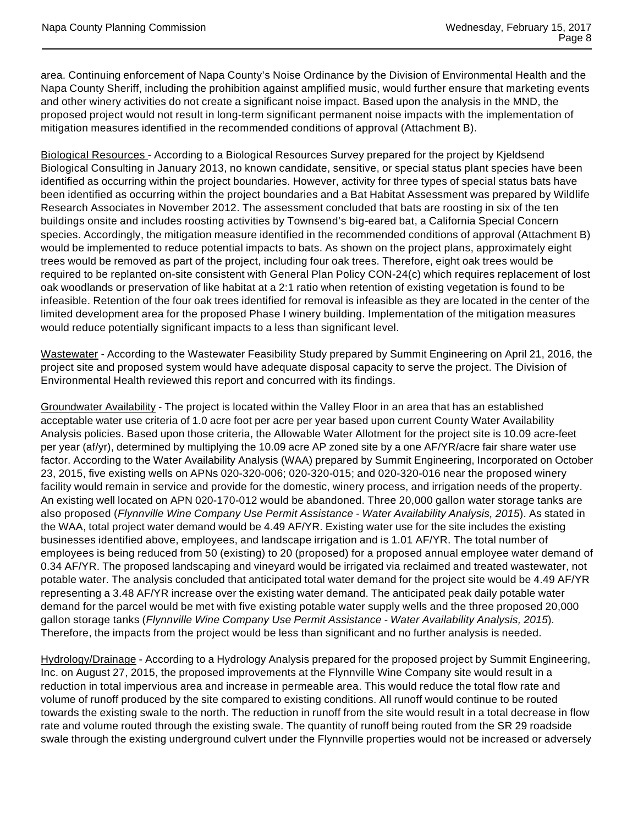area. Continuing enforcement of Napa County's Noise Ordinance by the Division of Environmental Health and the Napa County Sheriff, including the prohibition against amplified music, would further ensure that marketing events and other winery activities do not create a significant noise impact. Based upon the analysis in the MND, the proposed project would not result in long-term significant permanent noise impacts with the implementation of mitigation measures identified in the recommended conditions of approval (Attachment B).

Biological Resources - According to a Biological Resources Survey prepared for the project by Kjeldsend Biological Consulting in January 2013, no known candidate, sensitive, or special status plant species have been identified as occurring within the project boundaries. However, activity for three types of special status bats have been identified as occurring within the project boundaries and a Bat Habitat Assessment was prepared by Wildlife Research Associates in November 2012. The assessment concluded that bats are roosting in six of the ten buildings onsite and includes roosting activities by Townsend's big-eared bat, a California Special Concern species. Accordingly, the mitigation measure identified in the recommended conditions of approval (Attachment B) would be implemented to reduce potential impacts to bats. As shown on the project plans, approximately eight trees would be removed as part of the project, including four oak trees. Therefore, eight oak trees would be required to be replanted on-site consistent with General Plan Policy CON-24(c) which requires replacement of lost oak woodlands or preservation of like habitat at a 2:1 ratio when retention of existing vegetation is found to be infeasible. Retention of the four oak trees identified for removal is infeasible as they are located in the center of the limited development area for the proposed Phase I winery building. Implementation of the mitigation measures would reduce potentially significant impacts to a less than significant level.

Wastewater - According to the Wastewater Feasibility Study prepared by Summit Engineering on April 21, 2016, the project site and proposed system would have adequate disposal capacity to serve the project. The Division of Environmental Health reviewed this report and concurred with its findings.

Groundwater Availability - The project is located within the Valley Floor in an area that has an established acceptable water use criteria of 1.0 acre foot per acre per year based upon current County Water Availability Analysis policies. Based upon those criteria, the Allowable Water Allotment for the project site is 10.09 acre-feet per year (af/yr), determined by multiplying the 10.09 acre AP zoned site by a one AF/YR/acre fair share water use factor. According to the Water Availability Analysis (WAA) prepared by Summit Engineering, Incorporated on October 23, 2015, five existing wells on APNs 020-320-006; 020-320-015; and 020-320-016 near the proposed winery facility would remain in service and provide for the domestic, winery process, and irrigation needs of the property. An existing well located on APN 020-170-012 would be abandoned. Three 20,000 gallon water storage tanks are also proposed (Flynnville Wine Company Use Permit Assistance - Water Availability Analysis, 2015). As stated in the WAA, total project water demand would be 4.49 AF/YR. Existing water use for the site includes the existing businesses identified above, employees, and landscape irrigation and is 1.01 AF/YR. The total number of employees is being reduced from 50 (existing) to 20 (proposed) for a proposed annual employee water demand of 0.34 AF/YR. The proposed landscaping and vineyard would be irrigated via reclaimed and treated wastewater, not potable water. The analysis concluded that anticipated total water demand for the project site would be 4.49 AF/YR representing a 3.48 AF/YR increase over the existing water demand. The anticipated peak daily potable water demand for the parcel would be met with five existing potable water supply wells and the three proposed 20,000 gallon storage tanks (Flynnville Wine Company Use Permit Assistance - Water Availability Analysis, 2015). Therefore, the impacts from the project would be less than significant and no further analysis is needed.

Hydrology/Drainage - According to a Hydrology Analysis prepared for the proposed project by Summit Engineering, Inc. on August 27, 2015, the proposed improvements at the Flynnville Wine Company site would result in a reduction in total impervious area and increase in permeable area. This would reduce the total flow rate and volume of runoff produced by the site compared to existing conditions. All runoff would continue to be routed towards the existing swale to the north. The reduction in runoff from the site would result in a total decrease in flow rate and volume routed through the existing swale. The quantity of runoff being routed from the SR 29 roadside swale through the existing underground culvert under the Flynnville properties would not be increased or adversely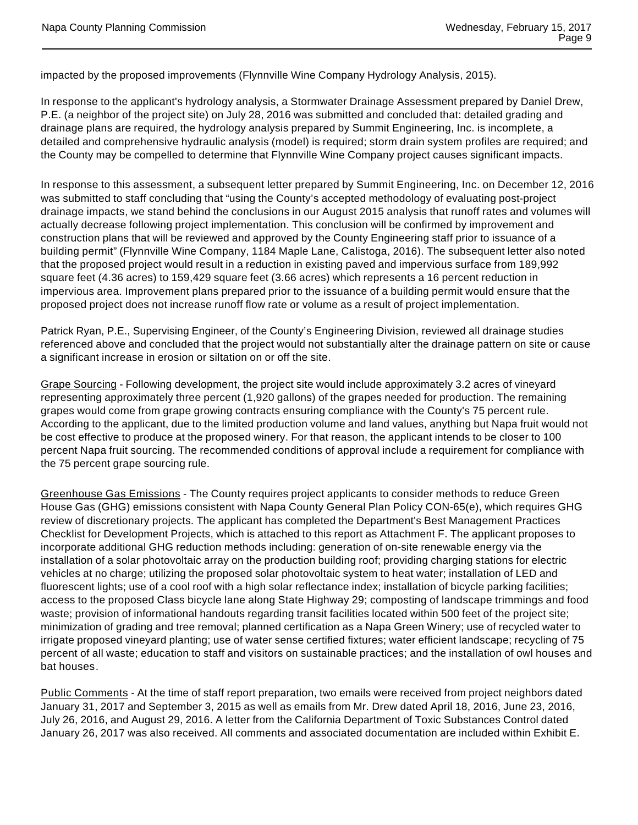impacted by the proposed improvements (Flynnville Wine Company Hydrology Analysis, 2015).

In response to the applicant's hydrology analysis, a Stormwater Drainage Assessment prepared by Daniel Drew, P.E. (a neighbor of the project site) on July 28, 2016 was submitted and concluded that: detailed grading and drainage plans are required, the hydrology analysis prepared by Summit Engineering, Inc. is incomplete, a detailed and comprehensive hydraulic analysis (model) is required; storm drain system profiles are required; and the County may be compelled to determine that Flynnville Wine Company project causes significant impacts.

In response to this assessment, a subsequent letter prepared by Summit Engineering, Inc. on December 12, 2016 was submitted to staff concluding that "using the County's accepted methodology of evaluating post-project drainage impacts, we stand behind the conclusions in our August 2015 analysis that runoff rates and volumes will actually decrease following project implementation. This conclusion will be confirmed by improvement and construction plans that will be reviewed and approved by the County Engineering staff prior to issuance of a building permit" (Flynnville Wine Company, 1184 Maple Lane, Calistoga, 2016). The subsequent letter also noted that the proposed project would result in a reduction in existing paved and impervious surface from 189,992 square feet (4.36 acres) to 159,429 square feet (3.66 acres) which represents a 16 percent reduction in impervious area. Improvement plans prepared prior to the issuance of a building permit would ensure that the proposed project does not increase runoff flow rate or volume as a result of project implementation.

Patrick Ryan, P.E., Supervising Engineer, of the County's Engineering Division, reviewed all drainage studies referenced above and concluded that the project would not substantially alter the drainage pattern on site or cause a significant increase in erosion or siltation on or off the site.

Grape Sourcing - Following development, the project site would include approximately 3.2 acres of vineyard representing approximately three percent (1,920 gallons) of the grapes needed for production. The remaining grapes would come from grape growing contracts ensuring compliance with the County's 75 percent rule. According to the applicant, due to the limited production volume and land values, anything but Napa fruit would not be cost effective to produce at the proposed winery. For that reason, the applicant intends to be closer to 100 percent Napa fruit sourcing. The recommended conditions of approval include a requirement for compliance with the 75 percent grape sourcing rule.

Greenhouse Gas Emissions - The County requires project applicants to consider methods to reduce Green House Gas (GHG) emissions consistent with Napa County General Plan Policy CON-65(e), which requires GHG review of discretionary projects. The applicant has completed the Department's Best Management Practices Checklist for Development Projects, which is attached to this report as Attachment F. The applicant proposes to incorporate additional GHG reduction methods including: generation of on-site renewable energy via the installation of a solar photovoltaic array on the production building roof; providing charging stations for electric vehicles at no charge; utilizing the proposed solar photovoltaic system to heat water; installation of LED and fluorescent lights; use of a cool roof with a high solar reflectance index; installation of bicycle parking facilities; access to the proposed Class bicycle lane along State Highway 29; composting of landscape trimmings and food waste; provision of informational handouts regarding transit facilities located within 500 feet of the project site; minimization of grading and tree removal; planned certification as a Napa Green Winery; use of recycled water to irrigate proposed vineyard planting; use of water sense certified fixtures; water efficient landscape; recycling of 75 percent of all waste; education to staff and visitors on sustainable practices; and the installation of owl houses and bat houses.

Public Comments - At the time of staff report preparation, two emails were received from project neighbors dated January 31, 2017 and September 3, 2015 as well as emails from Mr. Drew dated April 18, 2016, June 23, 2016, July 26, 2016, and August 29, 2016. A letter from the California Department of Toxic Substances Control dated January 26, 2017 was also received. All comments and associated documentation are included within Exhibit E.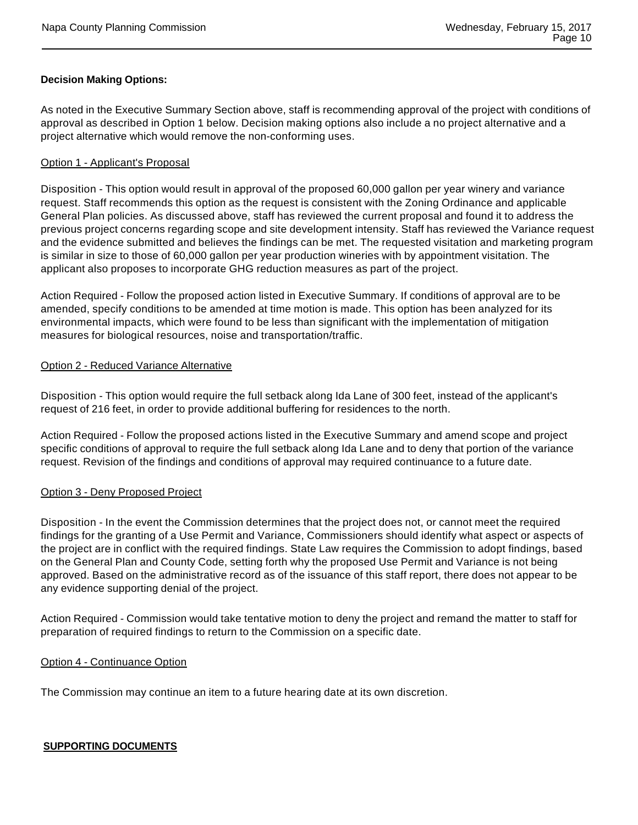## **Decision Making Options:**

As noted in the Executive Summary Section above, staff is recommending approval of the project with conditions of approval as described in Option 1 below. Decision making options also include a no project alternative and a project alternative which would remove the non-conforming uses.

#### Option 1 - Applicant's Proposal

Disposition - This option would result in approval of the proposed 60,000 gallon per year winery and variance request. Staff recommends this option as the request is consistent with the Zoning Ordinance and applicable General Plan policies. As discussed above, staff has reviewed the current proposal and found it to address the previous project concerns regarding scope and site development intensity. Staff has reviewed the Variance request and the evidence submitted and believes the findings can be met. The requested visitation and marketing program is similar in size to those of 60,000 gallon per year production wineries with by appointment visitation. The applicant also proposes to incorporate GHG reduction measures as part of the project.

Action Required - Follow the proposed action listed in Executive Summary. If conditions of approval are to be amended, specify conditions to be amended at time motion is made. This option has been analyzed for its environmental impacts, which were found to be less than significant with the implementation of mitigation measures for biological resources, noise and transportation/traffic.

#### Option 2 - Reduced Variance Alternative

Disposition - This option would require the full setback along Ida Lane of 300 feet, instead of the applicant's request of 216 feet, in order to provide additional buffering for residences to the north.

Action Required - Follow the proposed actions listed in the Executive Summary and amend scope and project specific conditions of approval to require the full setback along Ida Lane and to deny that portion of the variance request. Revision of the findings and conditions of approval may required continuance to a future date.

## Option 3 - Deny Proposed Project

Disposition - In the event the Commission determines that the project does not, or cannot meet the required findings for the granting of a Use Permit and Variance, Commissioners should identify what aspect or aspects of the project are in conflict with the required findings. State Law requires the Commission to adopt findings, based on the General Plan and County Code, setting forth why the proposed Use Permit and Variance is not being approved. Based on the administrative record as of the issuance of this staff report, there does not appear to be any evidence supporting denial of the project.

Action Required - Commission would take tentative motion to deny the project and remand the matter to staff for preparation of required findings to return to the Commission on a specific date.

#### Option 4 - Continuance Option

The Commission may continue an item to a future hearing date at its own discretion.

# **SUPPORTING DOCUMENTS**